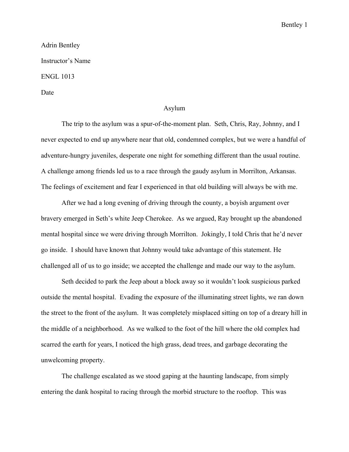## Adrin Bentley Instructor's Name ENGL 1013 Date

## Asylum

The trip to the asylum was a spur-of-the-moment plan. Seth, Chris, Ray, Johnny, and I never expected to end up anywhere near that old, condemned complex, but we were a handful of adventure-hungry juveniles, desperate one night for something different than the usual routine. A challenge among friends led us to a race through the gaudy asylum in Morrilton, Arkansas. The feelings of excitement and fear I experienced in that old building will always be with me.

After we had a long evening of driving through the county, a boyish argument over bravery emerged in Seth's white Jeep Cherokee. As we argued, Ray brought up the abandoned mental hospital since we were driving through Morrilton. Jokingly, I told Chris that he'd never go inside. I should have known that Johnny would take advantage of this statement. He challenged all of us to go inside; we accepted the challenge and made our way to the asylum.

Seth decided to park the Jeep about a block away so it wouldn't look suspicious parked outside the mental hospital. Evading the exposure of the illuminating street lights, we ran down the street to the front of the asylum. It was completely misplaced sitting on top of a dreary hill in the middle of a neighborhood. As we walked to the foot of the hill where the old complex had scarred the earth for years, I noticed the high grass, dead trees, and garbage decorating the unwelcoming property.

The challenge escalated as we stood gaping at the haunting landscape, from simply entering the dank hospital to racing through the morbid structure to the rooftop. This was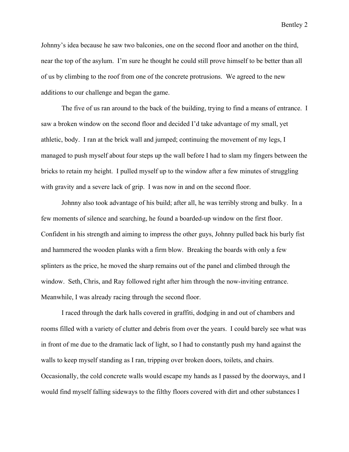Johnny's idea because he saw two balconies, one on the second floor and another on the third, near the top of the asylum. I'm sure he thought he could still prove himself to be better than all of us by climbing to the roof from one of the concrete protrusions. We agreed to the new additions to our challenge and began the game.

The five of us ran around to the back of the building, trying to find a means of entrance. I saw a broken window on the second floor and decided I'd take advantage of my small, yet athletic, body. I ran at the brick wall and jumped; continuing the movement of my legs, I managed to push myself about four steps up the wall before I had to slam my fingers between the bricks to retain my height. I pulled myself up to the window after a few minutes of struggling with gravity and a severe lack of grip. I was now in and on the second floor.

Johnny also took advantage of his build; after all, he was terribly strong and bulky. In a few moments of silence and searching, he found a boarded-up window on the first floor. Confident in his strength and aiming to impress the other guys, Johnny pulled back his burly fist and hammered the wooden planks with a firm blow. Breaking the boards with only a few splinters as the price, he moved the sharp remains out of the panel and climbed through the window. Seth, Chris, and Ray followed right after him through the now-inviting entrance. Meanwhile, I was already racing through the second floor.

I raced through the dark halls covered in graffiti, dodging in and out of chambers and rooms filled with a variety of clutter and debris from over the years. I could barely see what was in front of me due to the dramatic lack of light, so I had to constantly push my hand against the walls to keep myself standing as I ran, tripping over broken doors, toilets, and chairs. Occasionally, the cold concrete walls would escape my hands as I passed by the doorways, and I would find myself falling sideways to the filthy floors covered with dirt and other substances I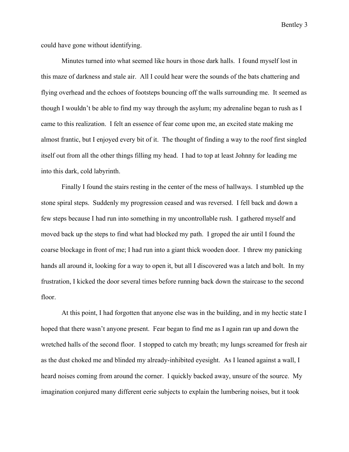could have gone without identifying.

Minutes turned into what seemed like hours in those dark halls. I found myself lost in this maze of darkness and stale air. All I could hear were the sounds of the bats chattering and flying overhead and the echoes of footsteps bouncing off the walls surrounding me. It seemed as though I wouldn't be able to find my way through the asylum; my adrenaline began to rush as I came to this realization. I felt an essence of fear come upon me, an excited state making me almost frantic, but I enjoyed every bit of it. The thought of finding a way to the roof first singled itself out from all the other things filling my head. I had to top at least Johnny for leading me into this dark, cold labyrinth.

Finally I found the stairs resting in the center of the mess of hallways. I stumbled up the stone spiral steps. Suddenly my progression ceased and was reversed. I fell back and down a few steps because I had run into something in my uncontrollable rush. I gathered myself and moved back up the steps to find what had blocked my path. I groped the air until I found the coarse blockage in front of me; I had run into a giant thick wooden door. I threw my panicking hands all around it, looking for a way to open it, but all I discovered was a latch and bolt. In my frustration, I kicked the door several times before running back down the staircase to the second floor.

At this point, I had forgotten that anyone else was in the building, and in my hectic state I hoped that there wasn't anyone present. Fear began to find me as I again ran up and down the wretched halls of the second floor. I stopped to catch my breath; my lungs screamed for fresh air as the dust choked me and blinded my already-inhibited eyesight. As I leaned against a wall, I heard noises coming from around the corner. I quickly backed away, unsure of the source. My imagination conjured many different eerie subjects to explain the lumbering noises, but it took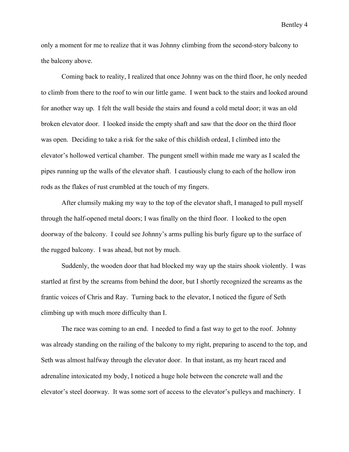only a moment for me to realize that it was Johnny climbing from the second-story balcony to the balcony above.

Coming back to reality, I realized that once Johnny was on the third floor, he only needed to climb from there to the roof to win our little game. I went back to the stairs and looked around for another way up. I felt the wall beside the stairs and found a cold metal door; it was an old broken elevator door. I looked inside the empty shaft and saw that the door on the third floor was open. Deciding to take a risk for the sake of this childish ordeal, I climbed into the elevator's hollowed vertical chamber. The pungent smell within made me wary as I scaled the pipes running up the walls of the elevator shaft. I cautiously clung to each of the hollow iron rods as the flakes of rust crumbled at the touch of my fingers.

After clumsily making my way to the top of the elevator shaft, I managed to pull myself through the half-opened metal doors; I was finally on the third floor. I looked to the open doorway of the balcony. I could see Johnny's arms pulling his burly figure up to the surface of the rugged balcony. I was ahead, but not by much.

Suddenly, the wooden door that had blocked my way up the stairs shook violently. I was startled at first by the screams from behind the door, but I shortly recognized the screams as the frantic voices of Chris and Ray. Turning back to the elevator, I noticed the figure of Seth climbing up with much more difficulty than I.

The race was coming to an end. I needed to find a fast way to get to the roof. Johnny was already standing on the railing of the balcony to my right, preparing to ascend to the top, and Seth was almost halfway through the elevator door. In that instant, as my heart raced and adrenaline intoxicated my body, I noticed a huge hole between the concrete wall and the elevator's steel doorway. It was some sort of access to the elevator's pulleys and machinery. I